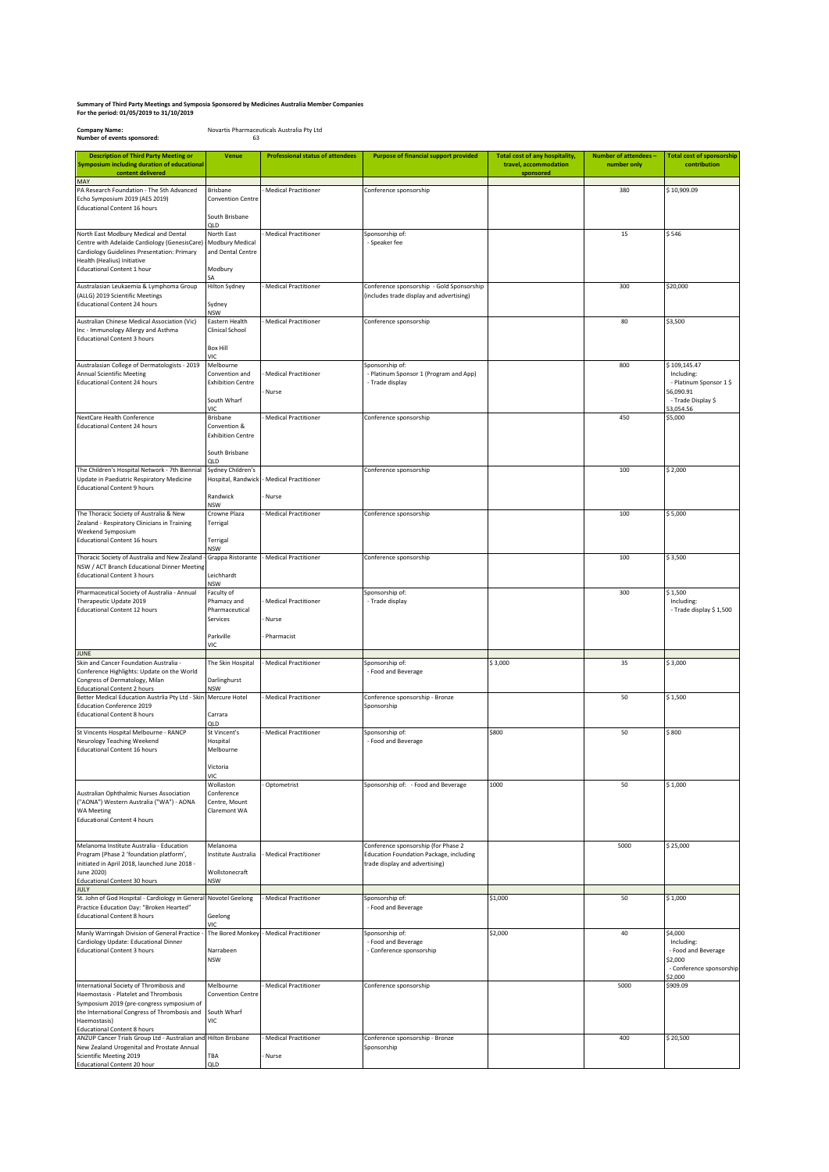## **For the period: 01/05/2019 to 31/10/2019 Summary of Third Party Meetings and Symposia Sponsored by Medicines Australia Member Companies**

**Company Name:** Novartis Pharmaceuticals Australia Pty Ltd **Number of events sponsored:** 

QLD

**Description of Third Party Meeting or Symposium including duration of educational content delivered Venue Professional status of attendees Purpose of financial support provided Total cost of any hospitality, travel, accommodation sponsored Number of attendees – number only Total cost of sponsorship contribution** MAY PA Research Foundation - The 5th Advanced Echo Symposium 2019 (AES 2019) Educational Content 16 hours **Brishane** on Cent iouth Brisbane QLD - Medical Practitioner Conference sponsorship 380 \$ 10,909.09 \$ 10,909.09 North East Modbury Medical and Dental Centre with Adelaide Cardiology (GenesisCare) - Cardiology Guidelines Presentation: Primary Health (Healius) Initiative Educational Content 1 hour North East anda<br>Ibury Medical and Dental Centre Modbury SA Hilton Sydney Medical Practitioner oonsorship of<br>· Speaker fee  $15$  \$ 546 Australasian Leukaemia & Lymphoma Group (ALLG) 2019 Scientific Meetings Educational Content 24 hours dney NSW - Medical Practitioner Conference sponsorship - Gold Sponsorship (includes trade display and advertising)  $300$   $520,000$ ustralian Chinese Medical Association (Vic) Inc - Immunology Allergy and Asthma Educational Content 3 hours Eastern Health Clinical School Box Hill VIC - Medical Practitioner Conference sponsorship 80 \$3,500 \$3,500 Australasian College of Dermatologists - 2019 Annual Scientific Meeting Educational Content 24 hours Melbourne Convention and Exhibition Centre iouth Wharf VIC Brisbane - Medical Practitioner - Nurse Sponsorship of: - Platinum Sponsor 1 (Program and App) - Trade display 800 \$ 109,145.47 Including: - Platinum Sponsor 1 \$ 56,090.91 - Trade Display \$  $\frac{1}{53,054.56}$ <br>\$5,000 NextCare Health Conference onal Content 24 hours Convention & Exhibition Centre South Brisbane QLD - Medical Practitioner Conference sponsorship 450 The Children's Hospital Network - 7th Biennial Update in Paediatric Respiratory Medicine Educational Content 9 hours Sydney Children's , . . . .<br>Iospital, Randwic **Randwick** NSW - Medical Practitioner - Nurse Conference sponsorship 100 \$ 2,000 The Thoracic Society of Australia & New Zealand - Respiratory Clinicians in Training Weekend Symposium Educational Content 16 hours Crowne Plaza Terrigal Terrigal NSW - Medical Practitioner Conference sponsorship 100 \$ 5,000 \$ 5,000 Thoracic Society of Australia and New Zealand - NSW / ACT Branch Educational Dinner Meeting Educational Content 3 hours .<br>rappa Ri Leichhardt NSW - Medical Practitioner Conference sponsorship 100 \$ 3,500 Pharmaceutical Society of Australia - Annual Therapeutic Update 2019 Educational Content 12 hours Faculty of Phamacy and Pharmaceutical Services Parkville VIC - Medical Practitioner - Nurse - Pharmacist onsorship of: - Trade display 300 \$ 1,500 Including: - Trade display \$ 1,500 JUNE .<br>Skin and Cancer Foundation Australia<br>Conference Highlights: Undate on the nce Highlights: Update on the World Congress of Dermatology, Milan Educational Content 2 hours The Skin Hospital arlinghurst NSW - Medical Practitioner Sponsorship of: - Food and Beverage \$ 3,000 \$ 35 \$ 3,000 **Better Medical Education Austrlia Pty Ltd - Skin** Education Conference 2019 Educational Content 8 hours Mercure Hotel Carrara QLD - Medical Practitioner Conference sponsorship - Bronze ..............<br>ponsorshij 50 \$ 1,500 St Vincents Hospital Melbourne - RANCP Neurology Teaching Weekend Educational Content 16 hours St Vincent's -- - -------<br>Hospital Melbourne Victoria VIC Wollaston Medical Practitioner ponsorship of:<br>- Food and Beverage \$800 \$800 \$800 Australian Ophthalmic Nurses Association ("AONA") Western Australia ("WA") - AONA WA Meeting ...............<br>Educational Content 4 hours Conference Centre, Mount Claremont WA - Optometrist Constanting Sponsorship of: - Food and Beverage 1000 50 50 \$1,000 \$1,000 Melanoma Institute Australia - Education Program (Phase 2 'foundation platform', initiated in April 2018, launched June 2018 une 2020) Educational Content 30 hours Melanoma .<br>Institute Australi Wollstonecraft NSW - Medical Practitioner Conference sponsorship (for Phase 2 Education Foundation Package, including trade display and advertising) 5000 \$ 25,000 JULY .<br>St. John of God Hospital - Cardiology in Ge Practice Education Day: "Broken Hearted" Educational Content 8 hours votel Geelong **Geelong** VIC -<br>dical Practitione - Food and Beverage \$1,000 \$1,000 Manly Warringah Division of General Practice - Cardiology Update: Educational Dinner Educational Content 3 hours The Bored Monke Narrabeen NSW - Medical Practitioner ponsorship of:<br>- Food and Beverage - Conference sponsorship  $\frac{1}{2}$ ,000 \$4,000 \$4,000 **Including**  - Food and Beverage \$2,000 -,---<br>· Conference sponso \$2,000 International Society of Thrombosis and Haemostasis - Platelet and Thrombosis Symposium 2019 (pre-congress symposium of the International Congress of Thrombosis and aemostasis) Educational Content 8 hours Melbourne Convention Centre South Wharf VIC - Medical Practitioner **Conference sponsorship** 5000 \$909.09 ANZUP Cancer Trials Group Ltd - Australian and New Zealand Urogenital and Prostate Annual Scientific Meeting 2019 Educational Content 20 ho ilton Brichane TBA - Medical Practitioner - Nurse Conference sponsorship - Bronze Sponsorship 400 \$ 20,500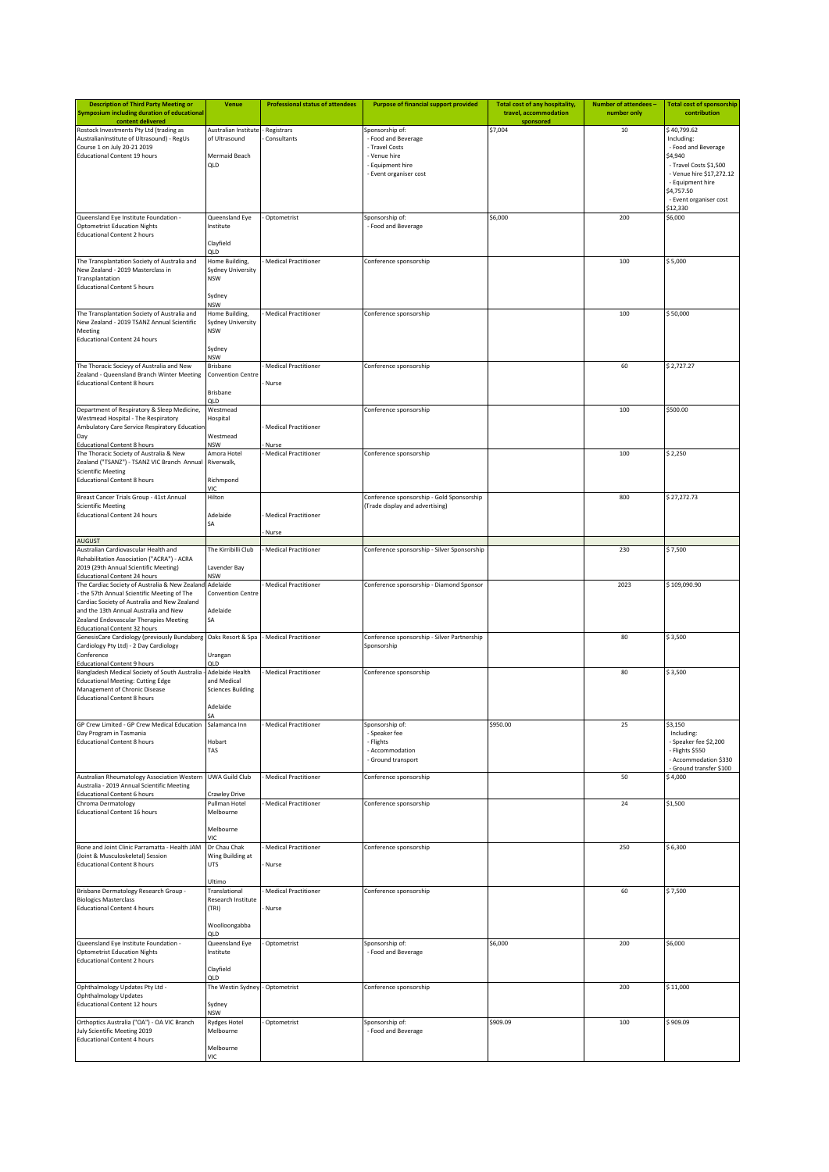| <b>Description of Third Party Meeting or</b><br>Symposium including duration of educational                                                                                    | <b>Venue</b>                               | <b>Professional status of attendees</b> | <b>Purpose of financial support provided</b>                                 | <b>Total cost of any hospitality,</b><br>travel, accommodation | Number of attendees -<br>number only | <b>Total cost of sponsorship</b><br>contribution   |
|--------------------------------------------------------------------------------------------------------------------------------------------------------------------------------|--------------------------------------------|-----------------------------------------|------------------------------------------------------------------------------|----------------------------------------------------------------|--------------------------------------|----------------------------------------------------|
| content delivered<br>Rostock Investments Pty Ltd (trading as                                                                                                                   | Australian Institute                       | Registrars                              | Sponsorship of:                                                              | sponsored<br>\$7,004                                           | 10                                   | \$40,799.62                                        |
| AustralianInstitute of Ultrasound) - RegUs<br>Course 1 on July 20-21 2019                                                                                                      | of Ultrasound                              | Consultants                             | - Food and Beverage<br>- Travel Costs                                        |                                                                |                                      | Including:<br>- Food and Beverage                  |
| <b>Educational Content 19 hours</b>                                                                                                                                            | Mermaid Beach                              |                                         | - Venue hire                                                                 |                                                                |                                      | \$4,940                                            |
|                                                                                                                                                                                | QLD                                        |                                         | - Equipment hire<br>- Event organiser cost                                   |                                                                |                                      | - Travel Costs \$1,500<br>- Venue hire \$17,272.12 |
|                                                                                                                                                                                |                                            |                                         |                                                                              |                                                                |                                      | - Equipment hire                                   |
|                                                                                                                                                                                |                                            |                                         |                                                                              |                                                                |                                      | \$4,757.50<br>- Event organiser cost               |
|                                                                                                                                                                                |                                            |                                         |                                                                              |                                                                | 200                                  | \$12,330                                           |
| Queensland Eye Institute Foundation -<br><b>Optometrist Education Nights</b>                                                                                                   | Queensland Eye<br>Institute                | Optometrist                             | Sponsorship of:<br>- Food and Beverage                                       | \$6,000                                                        |                                      | \$6,000                                            |
| <b>Educational Content 2 hours</b>                                                                                                                                             | Clayfield                                  |                                         |                                                                              |                                                                |                                      |                                                    |
|                                                                                                                                                                                | QLD                                        |                                         |                                                                              |                                                                |                                      |                                                    |
| The Transplantation Society of Australia and<br>New Zealand - 2019 Masterclass in                                                                                              | Home Building,<br><b>Sydney University</b> | Medical Practitioner                    | Conference sponsorship                                                       |                                                                | 100                                  | \$5,000                                            |
| Transplantation                                                                                                                                                                | <b>NSW</b>                                 |                                         |                                                                              |                                                                |                                      |                                                    |
| <b>Educational Content 5 hours</b>                                                                                                                                             | Sydney                                     |                                         |                                                                              |                                                                |                                      |                                                    |
| The Transplantation Society of Australia and                                                                                                                                   | <b>NSW</b><br>Home Building,               | Medical Practitioner                    | Conference sponsorship                                                       |                                                                | 100                                  | \$50,000                                           |
| New Zealand - 2019 TSANZ Annual Scientific                                                                                                                                     | <b>Sydney University</b>                   |                                         |                                                                              |                                                                |                                      |                                                    |
| Meeting<br><b>Educational Content 24 hours</b>                                                                                                                                 | <b>NSW</b>                                 |                                         |                                                                              |                                                                |                                      |                                                    |
|                                                                                                                                                                                | Sydney                                     |                                         |                                                                              |                                                                |                                      |                                                    |
| The Thoracic Socieyy of Australia and New                                                                                                                                      | NSW<br><b>Brisbane</b>                     | Medical Practitioner                    | Conference sponsorship                                                       |                                                                | 60                                   | \$2,727.27                                         |
| Zealand - Queensland Branch Winter Meeting                                                                                                                                     | <b>Convention Centre</b>                   |                                         |                                                                              |                                                                |                                      |                                                    |
| <b>Educational Content 8 hours</b>                                                                                                                                             | Brisbane                                   | Nurse                                   |                                                                              |                                                                |                                      |                                                    |
| Department of Respiratory & Sleep Medicine,                                                                                                                                    | QLD<br>Westmead                            |                                         | Conference sponsorship                                                       |                                                                | 100                                  | \$500.00                                           |
| Westmead Hospital - The Respiratory                                                                                                                                            | Hospital                                   |                                         |                                                                              |                                                                |                                      |                                                    |
| Ambulatory Care Service Respiratory Educatior<br>Day                                                                                                                           | Westmead                                   | Medical Practitioner                    |                                                                              |                                                                |                                      |                                                    |
| <b>Educational Content 8 hours</b>                                                                                                                                             | <b>NSW</b>                                 | Nurse                                   |                                                                              |                                                                |                                      |                                                    |
| The Thoracic Society of Australia & New<br>Zealand ("TSANZ") - TSANZ VIC Branch Annual                                                                                         | Amora Hotel<br>Riverwalk,                  | Medical Practitioner                    | Conference sponsorship                                                       |                                                                | 100                                  | \$2,250                                            |
| <b>Scientific Meeting</b>                                                                                                                                                      |                                            |                                         |                                                                              |                                                                |                                      |                                                    |
| <b>Educational Content 8 hours</b>                                                                                                                                             | Richmpond<br>VIC                           |                                         |                                                                              |                                                                |                                      |                                                    |
| Breast Cancer Trials Group - 41st Annual<br><b>Scientific Meeting</b>                                                                                                          | Hilton                                     |                                         | Conference sponsorship - Gold Sponsorship<br>(Trade display and advertising) |                                                                | 800                                  | \$27,272.73                                        |
| <b>Educational Content 24 hours</b>                                                                                                                                            | Adelaide                                   | <b>Medical Practitioner</b>             |                                                                              |                                                                |                                      |                                                    |
|                                                                                                                                                                                | SA                                         | Nurse                                   |                                                                              |                                                                |                                      |                                                    |
| AUGUST                                                                                                                                                                         |                                            |                                         |                                                                              |                                                                |                                      |                                                    |
| Australian Cardiovascular Health and<br>Rehabilitation Association ("ACRA") - ACRA                                                                                             | The Kirribilli Club                        | Medical Practitioner                    | Conference sponsorship - Silver Sponsorship                                  |                                                                | 230                                  | \$7,500                                            |
| 2019 (29th Annual Scientific Meeting)<br><b>Educational Content 24 hours</b>                                                                                                   | Lavender Bay<br><b>NSW</b>                 |                                         |                                                                              |                                                                |                                      |                                                    |
| The Cardiac Society of Australia & New Zealand                                                                                                                                 | Adelaide                                   | Medical Practitioner                    | Conference sponsorship - Diamond Sponsor                                     |                                                                | 2023                                 | \$109,090.90                                       |
| the 57th Annual Scientific Meeting of The<br>Cardiac Society of Australia and New Zealand                                                                                      | <b>Convention Centre</b>                   |                                         |                                                                              |                                                                |                                      |                                                    |
| and the 13th Annual Australia and New                                                                                                                                          | Adelaide                                   |                                         |                                                                              |                                                                |                                      |                                                    |
| Zealand Endovascular Therapies Meeting<br><b>Educational Content 32 hours</b>                                                                                                  | SA                                         |                                         |                                                                              |                                                                |                                      |                                                    |
| GenesisCare Cardiology (previously Bundaberg<br>Cardiology Pty Ltd) - 2 Day Cardiology                                                                                         | Oaks Resort & Spa                          | Medical Practitioner                    | Conference sponsorship - Silver Partnership<br>Sponsorship                   |                                                                | 80                                   | \$3,500                                            |
| Conference                                                                                                                                                                     | Urangan                                    |                                         |                                                                              |                                                                |                                      |                                                    |
| <b>Educational Content 9 hours</b><br>Bangladesh Medical Society of South Australia                                                                                            | OI D<br>Adelaide Health                    | Medical Practitioner                    | Conference sponsorship                                                       |                                                                | 80                                   | \$3,500                                            |
| <b>Educational Meeting: Cutting Edge</b>                                                                                                                                       | and Medical                                |                                         |                                                                              |                                                                |                                      |                                                    |
| Management of Chronic Disease<br><b>Educational Content 8 hours</b>                                                                                                            | <b>Sciences Building</b>                   |                                         |                                                                              |                                                                |                                      |                                                    |
|                                                                                                                                                                                | Adelaide<br>SΑ                             |                                         |                                                                              |                                                                |                                      |                                                    |
| GP Crew Limited - GP Crew Medical Education                                                                                                                                    | Salamanca Inn                              | <b>Medical Practitioner</b>             | Sponsorship of:                                                              | \$950.00                                                       | 25                                   | \$3,150                                            |
| Day Program in Tasmania<br><b>Educational Content 8 hours</b>                                                                                                                  | Hobart                                     |                                         | - Speaker fee<br>- Flights                                                   |                                                                |                                      | Including:<br>- Speaker fee \$2,200                |
|                                                                                                                                                                                | TAS                                        |                                         | - Accommodation                                                              |                                                                |                                      | - Flights \$550                                    |
|                                                                                                                                                                                |                                            |                                         | - Ground transport                                                           |                                                                |                                      | - Accommodation \$330<br>Ground transfer \$100     |
| Australian Rheumatology Association Western<br>Australia - 2019 Annual Scientific Meeting                                                                                      | UWA Guild Club                             | Medical Practitioner                    | Conference sponsorship                                                       |                                                                | 50                                   | \$4,000                                            |
| <b>Educational Content 6 hours</b>                                                                                                                                             | Crawley Drive                              |                                         |                                                                              |                                                                |                                      |                                                    |
| Chroma Dermatology<br><b>Educational Content 16 hours</b>                                                                                                                      | Pullman Hotel<br>Melbourne                 | Medical Practitioner                    | Conference sponsorship                                                       |                                                                | 24                                   | \$1,500                                            |
|                                                                                                                                                                                |                                            |                                         |                                                                              |                                                                |                                      |                                                    |
|                                                                                                                                                                                | Melbourne<br>VIC                           |                                         |                                                                              |                                                                |                                      |                                                    |
| Bone and Joint Clinic Parramatta - Health JAM                                                                                                                                  | Dr Chau Chak                               | Medical Practitioner                    | Conference sponsorship                                                       |                                                                | 250                                  | \$6,300                                            |
| (Joint & Musculoskeletal) Session<br><b>Educational Content 8 hours</b>                                                                                                        | Wing Building at<br>UTS                    | Nurse                                   |                                                                              |                                                                |                                      |                                                    |
|                                                                                                                                                                                | Ultimo                                     |                                         |                                                                              |                                                                |                                      |                                                    |
| Brisbane Dermatology Research Group -                                                                                                                                          | Translational                              | Medical Practitioner                    | Conference sponsorship                                                       |                                                                | 60                                   | \$7,500                                            |
| <b>Biologics Masterclass</b><br><b>Educational Content 4 hours</b>                                                                                                             | Research Institute<br>(TRI)                | Nurse                                   |                                                                              |                                                                |                                      |                                                    |
|                                                                                                                                                                                |                                            |                                         |                                                                              |                                                                |                                      |                                                    |
|                                                                                                                                                                                | Woolloongabba<br>QLD                       |                                         |                                                                              |                                                                |                                      |                                                    |
|                                                                                                                                                                                |                                            |                                         | Sponsorship of:                                                              | \$6,000                                                        | 200                                  | \$6,000                                            |
|                                                                                                                                                                                | Queensland Eye                             | Optometrist                             |                                                                              |                                                                |                                      |                                                    |
|                                                                                                                                                                                | Institute                                  |                                         | - Food and Beverage                                                          |                                                                |                                      |                                                    |
|                                                                                                                                                                                | Clayfield                                  |                                         |                                                                              |                                                                |                                      |                                                    |
|                                                                                                                                                                                | QLD<br>The Westin Sydney                   | - Optometrist                           | Conference sponsorship                                                       |                                                                | 200                                  | \$11,000                                           |
| Queensland Eye Institute Foundation -<br><b>Optometrist Education Nights</b><br><b>Educational Content 2 hours</b><br>Ophthalmology Updates Pty Ltd -<br>Ophthalmology Updates |                                            |                                         |                                                                              |                                                                |                                      |                                                    |
| <b>Educational Content 12 hours</b>                                                                                                                                            | Sydney<br>NSW                              |                                         |                                                                              |                                                                |                                      |                                                    |
| July Scientific Meeting 2019                                                                                                                                                   | <b>Rydges Hotel</b><br>Melbourne           | Optometrist                             | Sponsorship of:<br>- Food and Beverage                                       | \$909.09                                                       | 100                                  | \$909.09                                           |
| Orthoptics Australia ("OA") - OA VIC Branch<br><b>Educational Content 4 hours</b>                                                                                              | Melbourne                                  |                                         |                                                                              |                                                                |                                      |                                                    |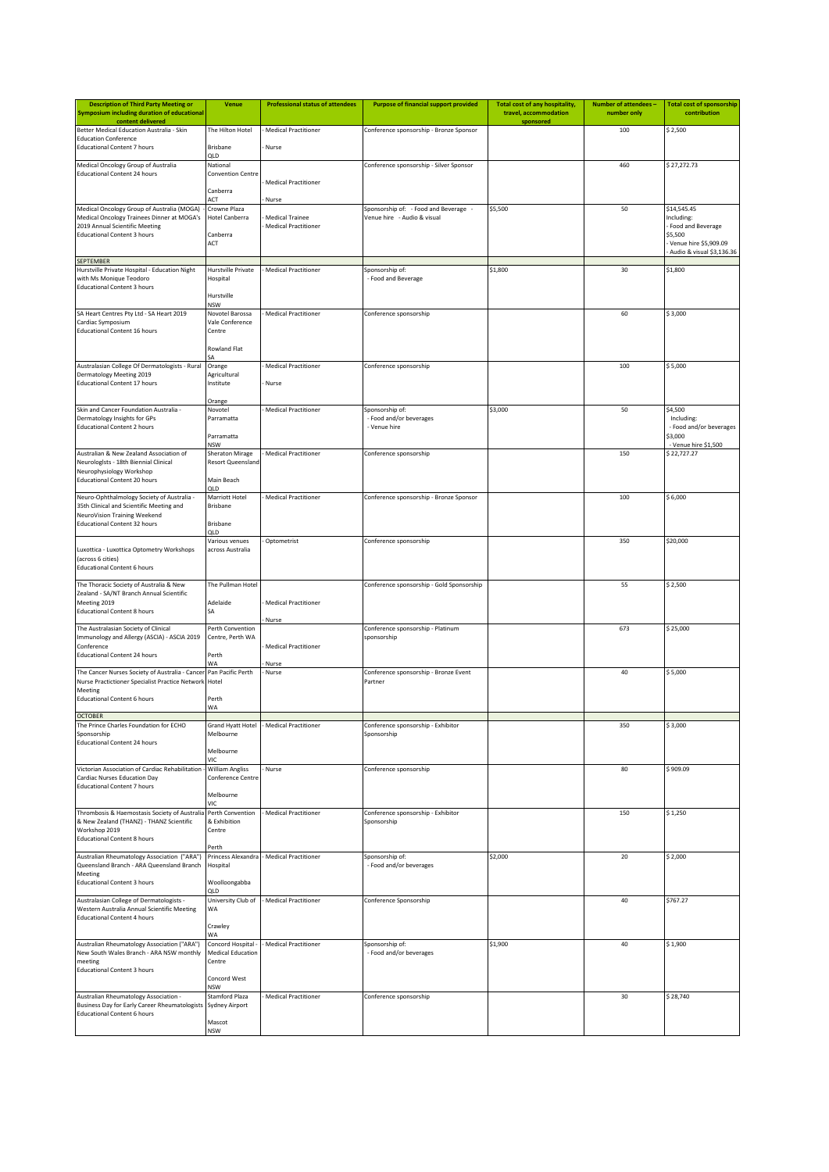| <b>Description of Third Party Meeting or</b><br><b>Symposium including duration of educational</b> | <b>Venue</b>                                 | <b>Professional status of attendees</b>               | <b>Purpose of financial support provided</b> | Total cost of any hospitality,<br>travel, accommodation | Number of attendees -<br>number only | <b>Total cost of sponsorship</b><br>contribution   |
|----------------------------------------------------------------------------------------------------|----------------------------------------------|-------------------------------------------------------|----------------------------------------------|---------------------------------------------------------|--------------------------------------|----------------------------------------------------|
| content delivered<br>Better Medical Education Australia - Skin                                     | The Hilton Hotel                             | <b>Medical Practitioner</b>                           | Conference sponsorship - Bronze Sponsor      | sponsored                                               | 100                                  | \$2,500                                            |
| <b>Education Conference</b><br><b>Educational Content 7 hours</b>                                  | <b>Brisbane</b>                              | Nurse                                                 |                                              |                                                         |                                      |                                                    |
|                                                                                                    | ח וכ                                         |                                                       |                                              |                                                         |                                      |                                                    |
| Medical Oncology Group of Australia<br><b>Educational Content 24 hours</b>                         | National<br><b>Convention Centre</b>         |                                                       | Conference sponsorship - Silver Sponsor      |                                                         | 460                                  | \$27,272.73                                        |
|                                                                                                    | Canberra                                     | <b>Medical Practitioner</b>                           |                                              |                                                         |                                      |                                                    |
| Medical Oncology Group of Australia (MOGA)                                                         | ACT<br>Crowne Plaza                          | Nurse                                                 | Sponsorship of: - Food and Beverage -        | \$5,500                                                 | 50                                   | \$14,545.45                                        |
| Medical Oncology Trainees Dinner at MOGA's<br>2019 Annual Scientific Meeting                       | <b>Hotel Canberra</b>                        | <b>Medical Trainee</b><br><b>Medical Practitioner</b> | Venue hire - Audio & visual                  |                                                         |                                      | Including:<br>Food and Beverage                    |
| <b>Educational Content 3 hours</b>                                                                 | Canberra                                     |                                                       |                                              |                                                         |                                      | \$5,500                                            |
|                                                                                                    | ACT                                          |                                                       |                                              |                                                         |                                      | Venue hire \$5,909.09<br>Audio & visual \$3,136.36 |
| <b>SEPTEMBER</b><br>Hurstville Private Hospital - Education Night                                  | Hurstville Private                           | <b>Medical Practitioner</b>                           | Sponsorship of:                              | \$1,800                                                 | 30                                   | \$1,800                                            |
| with Ms Monique Teodoro                                                                            | Hospital                                     |                                                       | - Food and Beverage                          |                                                         |                                      |                                                    |
| <b>Educational Content 3 hours</b>                                                                 | Hurstville                                   |                                                       |                                              |                                                         |                                      |                                                    |
| SA Heart Centres Pty Ltd - SA Heart 2019                                                           | NSW<br>Novotel Barossa                       | <b>Medical Practitioner</b>                           | Conference sponsorship                       |                                                         | 60                                   | \$3,000                                            |
| Cardiac Symposium<br><b>Educational Content 16 hours</b>                                           | Vale Conference<br>Centre                    |                                                       |                                              |                                                         |                                      |                                                    |
|                                                                                                    |                                              |                                                       |                                              |                                                         |                                      |                                                    |
|                                                                                                    | Rowland Flat                                 |                                                       |                                              |                                                         |                                      |                                                    |
| Australasian College Of Dermatologists - Rural<br>Dermatology Meeting 2019                         | Orange<br>Agricultural                       | <b>Medical Practitioner</b>                           | Conference sponsorship                       |                                                         | 100                                  | \$5,000                                            |
| <b>Educational Content 17 hours</b>                                                                | Institute                                    | Nurse                                                 |                                              |                                                         |                                      |                                                    |
|                                                                                                    | Orange                                       |                                                       |                                              |                                                         |                                      |                                                    |
| Skin and Cancer Foundation Australia -<br>Dermatology Insights for GPs                             | Novotel<br>Parramatta                        | <b>Medical Practitioner</b>                           | Sponsorship of:<br>- Food and/or beverages   | \$3,000                                                 | 50                                   | \$4,500<br>Including:                              |
| <b>Educational Content 2 hours</b>                                                                 | Parramatta                                   |                                                       | - Venue hire                                 |                                                         |                                      | - Food and/or beverages<br>\$3,000                 |
| Australian & New Zealand Association of                                                            | <b>NSW</b>                                   |                                                       |                                              |                                                         |                                      | - Venue hire \$1,500                               |
| Neurologists - 18th Biennial Clinical                                                              | Sheraton Mirage<br><b>Resort Queensland</b>  | <b>Medical Practitioner</b>                           | Conference sponsorship                       |                                                         | 150                                  | \$22,727.27                                        |
| Neurophysiology Workshop<br><b>Educational Content 20 hours</b>                                    | Main Beach                                   |                                                       |                                              |                                                         |                                      |                                                    |
| Neuro-Ophthalmology Society of Australia -                                                         | QLD<br>Marriott Hotel                        | <b>Medical Practitioner</b>                           | Conference sponsorship - Bronze Sponsor      |                                                         | 100                                  | \$6,000                                            |
| 35th Clinical and Scientific Meeting and                                                           | <b>Brisbane</b>                              |                                                       |                                              |                                                         |                                      |                                                    |
| NeuroVision Training Weekend<br><b>Educational Content 32 hours</b>                                | <b>Brisbane</b>                              |                                                       |                                              |                                                         |                                      |                                                    |
|                                                                                                    | QLD<br>Various venues                        | Optometrist                                           | Conference sponsorship                       |                                                         | 350                                  | \$20,000                                           |
| Luxottica - Luxottica Optometry Workshops                                                          | across Australia                             |                                                       |                                              |                                                         |                                      |                                                    |
| (across 6 cities)<br><b>Educational Content 6 hours</b>                                            |                                              |                                                       |                                              |                                                         |                                      |                                                    |
| The Thoracic Society of Australia & New                                                            | The Pullman Hotel                            |                                                       | Conference sponsorship - Gold Sponsorship    |                                                         | 55                                   | \$2,500                                            |
| Zealand - SA/NT Branch Annual Scientific<br>Meeting 2019                                           | Adelaide                                     | <b>Medical Practitioner</b>                           |                                              |                                                         |                                      |                                                    |
| <b>Educational Content 8 hours</b>                                                                 | SA                                           |                                                       |                                              |                                                         |                                      |                                                    |
| The Australasian Society of Clinical                                                               | Perth Convention                             | Nurse                                                 | Conference sponsorship - Platinum            |                                                         | 673                                  | \$25,000                                           |
| Immunology and Allergy (ASCIA) - ASCIA 2019<br>Conference                                          | Centre, Perth WA                             | <b>Medical Practitioner</b>                           | sponsorship                                  |                                                         |                                      |                                                    |
| <b>Educational Content 24 hours</b>                                                                | Perth<br><b>WA</b>                           | Nurse                                                 |                                              |                                                         |                                      |                                                    |
| The Cancer Nurses Society of Australia - Cancer                                                    | Pan Pacific Perth                            | Nurse                                                 | Conference sponsorship - Bronze Event        |                                                         | 40                                   | \$5,000                                            |
| Nurse Practictioner Specialist Practice Network<br>Meeting                                         | Hotel                                        |                                                       | Partner                                      |                                                         |                                      |                                                    |
| <b>Educational Content 6 hours</b>                                                                 | Perth<br>WA                                  |                                                       |                                              |                                                         |                                      |                                                    |
| <b>OCTOBER</b><br>The Prince Charles Foundation for ECHO                                           | Grand Hyatt Hotel                            | Medical Practitioner                                  | Conference sponsorship - Exhibitor           |                                                         | 350                                  | \$ 3,000                                           |
| Sponsorship                                                                                        | Melbourne                                    |                                                       | Sponsorship                                  |                                                         |                                      |                                                    |
| <b>Educational Content 24 hours</b>                                                                | Melbourne                                    |                                                       |                                              |                                                         |                                      |                                                    |
| Victorian Association of Cardiac Rehabilitation                                                    | VIC<br><b>William Angliss</b>                | Nurse                                                 | Conference sponsorship                       |                                                         | 80                                   | \$909.09                                           |
| Cardiac Nurses Education Day<br><b>Educational Content 7 hours</b>                                 | Conference Centre                            |                                                       |                                              |                                                         |                                      |                                                    |
|                                                                                                    | Melbourne<br>VIC                             |                                                       |                                              |                                                         |                                      |                                                    |
| Thrombosis & Haemostasis Society of Australia                                                      | Perth Convention                             | <b>Medical Practitioner</b>                           | Conference sponsorship - Exhibitor           |                                                         | 150                                  | \$1,250                                            |
| & New Zealand (THANZ) - THANZ Scientific<br>Workshop 2019                                          | & Exhibition<br>Centre                       |                                                       | Sponsorship                                  |                                                         |                                      |                                                    |
| <b>Educational Content 8 hours</b>                                                                 | Perth                                        |                                                       |                                              |                                                         |                                      |                                                    |
| Australian Rheumatology Association ("ARA")                                                        |                                              | Princess Alexandra - Medical Practitioner             | Sponsorship of:                              | \$2,000                                                 | 20                                   | \$2,000                                            |
| Queensland Branch - ARA Queensland Branch<br>Meeting                                               | Hospital                                     |                                                       | - Food and/or beverages                      |                                                         |                                      |                                                    |
| <b>Educational Content 3 hours</b>                                                                 | Woolloongabba<br>ח וכ                        |                                                       |                                              |                                                         |                                      |                                                    |
| Australasian College of Dermatologists -<br>Western Australia Annual Scientific Meeting            | University Club of<br>WA                     | <b>Medical Practitioner</b>                           | Conference Sponsorship                       |                                                         | 40                                   | \$767.27                                           |
| <b>Educational Content 4 hours</b>                                                                 |                                              |                                                       |                                              |                                                         |                                      |                                                    |
|                                                                                                    | Crawley<br>WA                                |                                                       |                                              |                                                         |                                      |                                                    |
| Australian Rheumatology Association ("ARA")<br>New South Wales Branch - ARA NSW monthly            | Concord Hospital<br><b>Medical Education</b> | <b>Medical Practitioner</b>                           | Sponsorship of:<br>- Food and/or beverages   | \$1,900                                                 | 40                                   | \$1,900                                            |
| meeting<br><b>Educational Content 3 hours</b>                                                      | Centre                                       |                                                       |                                              |                                                         |                                      |                                                    |
|                                                                                                    | Concord West                                 |                                                       |                                              |                                                         |                                      |                                                    |
| Australian Rheumatology Association -                                                              | <b>NSW</b><br>Stamford Plaza                 | <b>Medical Practitioner</b>                           | Conference sponsorship                       |                                                         | 30                                   | \$28,740                                           |
| Business Day for Early Career Rheumatologists<br><b>Educational Content 6 hours</b>                | Sydney Airport                               |                                                       |                                              |                                                         |                                      |                                                    |
|                                                                                                    | Mascot<br><b>NSW</b>                         |                                                       |                                              |                                                         |                                      |                                                    |